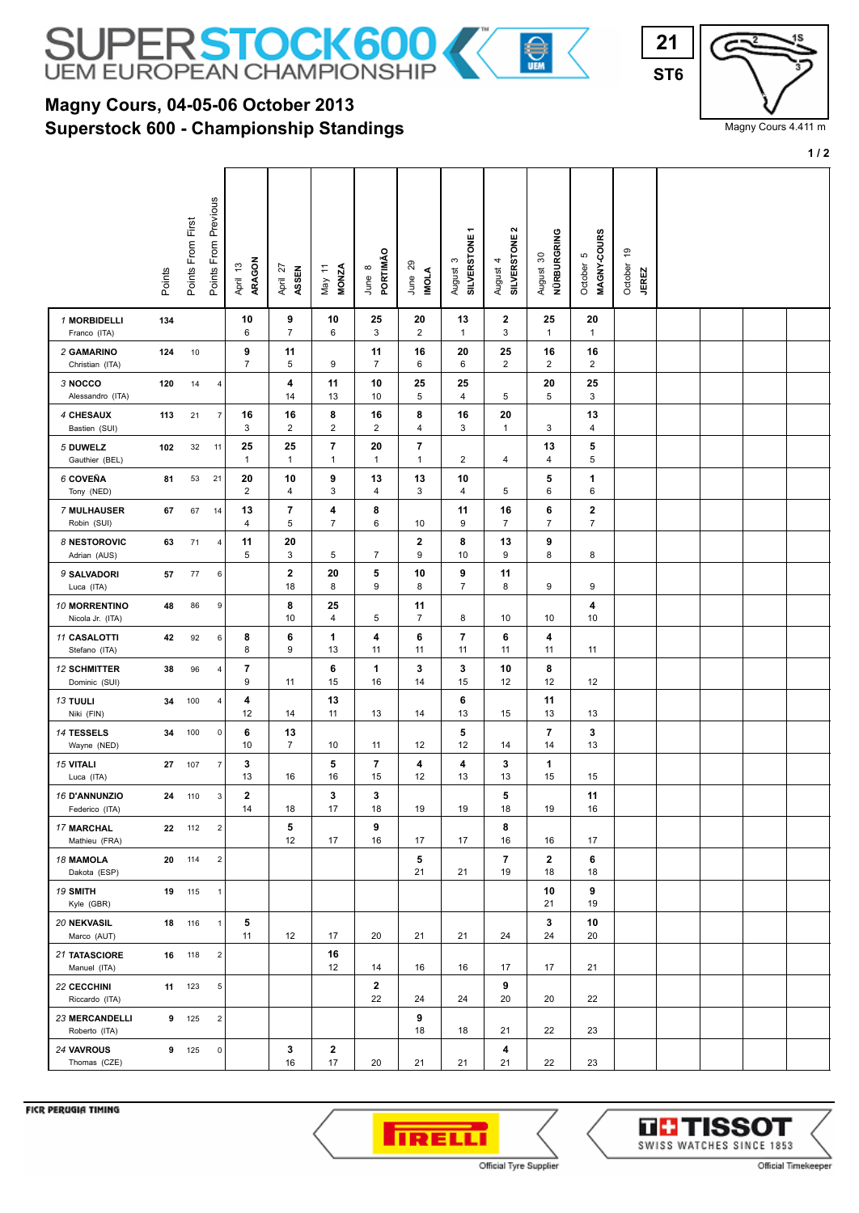

## **Superstock 600 - Championship Standings Magny Cours, 04-05-06 October 2013**



Magny Cours 4.411 m

**1 / 2**

|                                        | Points | Points From First | Points From Previous | ARAGON<br>April 13            | April 27<br>ASSEN    | <b>MONZA</b><br>May 11         | PORTIMÃO<br>June 8   | June 29<br><b>INOLA</b>        | SILVERSTONE1<br>$\mathfrak{S}$<br>August | $\sim$<br>SILVERSTONE<br>4<br>August | NÜRBURGRING<br>$30\,$<br>August | MAGNY-COURS<br>Ю<br>October   | $\frac{6}{5}$<br>October<br><b>JEREZ</b> |  |  |
|----------------------------------------|--------|-------------------|----------------------|-------------------------------|----------------------|--------------------------------|----------------------|--------------------------------|------------------------------------------|--------------------------------------|---------------------------------|-------------------------------|------------------------------------------|--|--|
| 1 MORBIDELLI<br>Franco (ITA)           | 134    |                   |                      | 10<br>6                       | 9<br>$\overline{7}$  | 10<br>6                        | 25<br>3              | 20<br>$\overline{2}$           | 13<br>$\mathbf{1}$                       | $\mathbf{2}$<br>3                    | 25<br>$\mathbf{1}$              | 20<br>$\mathbf{1}$            |                                          |  |  |
| 2 GAMARINO<br>Christian (ITA)          | 124    | 10                |                      | 9<br>$\overline{7}$           | 11<br>5              | 9                              | 11<br>$\overline{7}$ | 16<br>6                        | 20<br>6                                  | 25<br>$\overline{2}$                 | 16<br>2                         | 16<br>$\overline{2}$          |                                          |  |  |
| 3 NOCCO<br>Alessandro (ITA)            | 120    | 14                | 4                    |                               | 4<br>14              | 11<br>13                       | 10<br>10             | 25<br>5                        | 25<br>$\overline{4}$                     | 5                                    | 20<br>5                         | 25<br>3                       |                                          |  |  |
| 4 CHESAUX<br>Bastien (SUI)             | 113    | 21                | $\overline{7}$       | 16<br>3                       | 16<br>$\overline{2}$ | 8<br>$\overline{2}$            | 16<br>$\overline{2}$ | 8<br>$\overline{\mathbf{4}}$   | 16<br>3                                  | 20<br>$\mathbf{1}$                   | 3                               | 13<br>$\overline{\mathbf{4}}$ |                                          |  |  |
| 5 DUWELZ<br>Gauthier (BEL)             | 102    | 32                | 11                   | 25<br>$\mathbf{1}$            | 25<br>$\mathbf{1}$   | $\overline{7}$<br>$\mathbf{1}$ | 20<br>$\mathbf{1}$   | $\overline{7}$<br>$\mathbf{1}$ | $\overline{c}$                           | 4                                    | 13<br>4                         | 5<br>5                        |                                          |  |  |
| 6 COVEÑA<br>Tony (NED)                 | 81     | 53                | 21                   | 20<br>$\overline{\mathbf{c}}$ | 10<br>4              | 9<br>3                         | 13<br>4              | 13<br>3                        | 10<br>4                                  | 5                                    | 5<br>6                          | 1<br>6                        |                                          |  |  |
| 7 MULHAUSER<br>Robin (SUI)             | 67     | 67                | 14                   | 13<br>4                       | 7<br>5               | 4<br>$\overline{7}$            | 8<br>6               | 10                             | 11<br>9                                  | 16<br>7                              | 6<br>$\overline{7}$             | $\mathbf 2$<br>$\overline{7}$ |                                          |  |  |
| 8 NESTOROVIC<br>Adrian (AUS)           | 63     | 71                | $\sqrt{4}$           | 11<br>5                       | 20<br>3              | 5                              | $\overline{7}$       | $\mathbf 2$<br>9               | 8<br>10                                  | 13<br>9                              | 9<br>8                          | 8                             |                                          |  |  |
| 9 SALVADORI<br>Luca (ITA)              | 57     | 77                | 6                    |                               | $\mathbf{2}$<br>18   | 20<br>8                        | 5<br>9               | 10<br>8                        | 9<br>7                                   | 11<br>8                              | 9                               | 9                             |                                          |  |  |
| 10 MORRENTINO<br>Nicola Jr. (ITA)      | 48     | 86                | 9                    |                               | 8<br>10              | 25<br>4                        | 5                    | 11<br>7                        | 8                                        | 10                                   | 10                              | 4<br>10                       |                                          |  |  |
| 11 CASALOTTI<br>Stefano (ITA)          | 42     | 92                | 6                    | 8<br>8                        | 6<br>9               | 1<br>13                        | 4<br>11              | 6<br>11                        | 7<br>11                                  | 6<br>11                              | 4<br>11                         | 11                            |                                          |  |  |
| <b>12 SCHMITTER</b><br>Dominic (SUI)   | 38     | 96                | 4                    | 7<br>9                        | 11                   | 6<br>15                        | 1<br>16              | 3<br>14                        | 3<br>15                                  | 10<br>12                             | 8<br>12                         | 12                            |                                          |  |  |
| <b>13 TUULI</b><br>Niki (FIN)          | 34     | 100               | 4                    | 4<br>12                       | 14                   | 13<br>11                       | 13                   | 14                             | 6<br>13                                  | 15                                   | 11<br>13                        | 13                            |                                          |  |  |
| 14 TESSELS<br>Wayne (NED)              | 34     | 100               | 0                    | 6<br>10                       | 13<br>$\overline{7}$ | 10                             | 11                   | 12                             | 5<br>12                                  | 14                                   | 7<br>14                         | 3<br>13                       |                                          |  |  |
| <b>15 VITALI</b><br>Luca (ITA)         | 27     | 107               | $\overline{7}$       | 3<br>13                       | 16                   | 5<br>16                        | 7<br>15              | 4<br>12                        | 4<br>13                                  | 3<br>13                              | 1<br>15                         | 15                            |                                          |  |  |
| 16 D'ANNUNZIO<br>Federico (ITA)        | 24     | 110               | 3                    | 2<br>14                       | 18                   | 3<br>17                        | 3<br>18              | 19                             | 19                                       | 5<br>18                              | 19                              | 11<br>16                      |                                          |  |  |
| <b>17 MARCHAL</b><br>Mathieu (FRA)     |        | 22 112            | $\overline{2}$       |                               | 5<br>12              | 17                             | 9<br>16              | 17                             | 17                                       | 8<br>16                              | 16                              | 17                            |                                          |  |  |
| <b>18 MAMOLA</b><br>Dakota (ESP)       | 20     | 114               | $\boldsymbol{2}$     |                               |                      |                                |                      | 5<br>21                        | 21                                       | $\overline{\phantom{a}}$<br>19       | $\mathbf{2}$<br>18              | 6<br>18                       |                                          |  |  |
| <b>19 SMITH</b><br>Kyle (GBR)          |        | 19 115            | $\overline{1}$       |                               |                      |                                |                      |                                |                                          |                                      | 10<br>21                        | 9<br>19                       |                                          |  |  |
| 20 NEKVASIL<br>Marco (AUT)             |        | 18 116            | $\mathbf{1}$         | 5<br>11                       | 12                   | 17                             | 20                   | 21                             | 21                                       | 24                                   | 3<br>24                         | 10<br>20                      |                                          |  |  |
| <b>21 TATASCIORE</b><br>Manuel (ITA)   | 16     | 118               | 2                    |                               |                      | 16<br>12                       | 14                   | 16                             | 16                                       | 17                                   | 17                              | 21                            |                                          |  |  |
| 22 CECCHINI<br>Riccardo (ITA)          |        | 11 123            | 5                    |                               |                      |                                | $\mathbf{2}$<br>22   | 24                             | 24                                       | 9<br>20                              | 20                              | 22                            |                                          |  |  |
| <b>23 MERCANDELLI</b><br>Roberto (ITA) |        | 9 125             | $\overline{2}$       |                               |                      |                                |                      | 9<br>18                        | 18                                       | 21                                   | 22                              | 23                            |                                          |  |  |
| 24 VAVROUS<br>Thomas (CZE)             | 9      | 125               | 0                    |                               | 3<br>16              | $\mathbf{2}$<br>17             | 20                   | 21                             | 21                                       | 4<br>21                              | 22                              | 23                            |                                          |  |  |